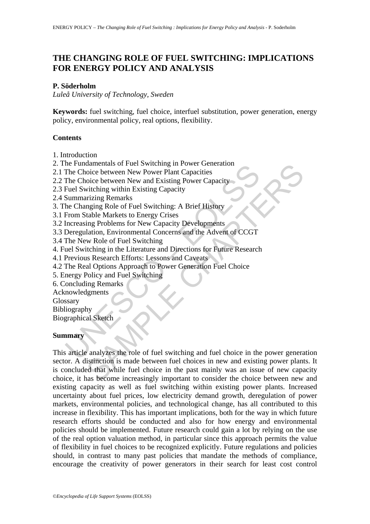## **THE CHANGING ROLE OF FUEL SWITCHING: IMPLICATIONS FOR ENERGY POLICY AND ANALYSIS**

#### **P. Söderholm**

*Luleå University of Technology, Sweden* 

**Keywords:** fuel switching, fuel choice, interfuel substitution, power generation, energy policy, environmental policy, real options, flexibility.

#### **Contents**

1. Introduction

2. The Fundamentals of Fuel Switching in Power Generation

- 2.1 The Choice between New Power Plant Capacities
- 2.2 The Choice between New and Existing Power Capacity
- 2.3 Fuel Switching within Existing Capacity
- 2.4 Summarizing Remarks
- 3. The Changing Role of Fuel Switching: A Brief History
- 3.1 From Stable Markets to Energy Crises
- 3.2 Increasing Problems for New Capacity Developments
- 3.3 Deregulation, Environmental Concerns and the Advent of CCGT
- 3.4 The New Role of Fuel Switching
- 4. Fuel Switching in the Literature and Directions for Future Research
- 4.1 Previous Research Efforts: Lessons and Caveats
- 4.2 The Real Options Approach to Power Generation Fuel Choice
- 5. Energy Policy and Fuel Switching
- 6. Concluding Remarks
- Acknowledgments
- Glossary

Bibliography

Biographical Sketch

#### **Summary**

The Choice between New Power Dianual II rower dentances<br>The Choice between New Power Plant Capacities<br>The Choice between New and Existing Power Capacity<br>Fuel Switching within Existing Capacity<br>Summarizing Remarks<br>the Chang damentals of Fuel Switching in Power Generation<br>oice between New Power Plant Capacities<br>oice between New and Existing Power Capacity<br>witching within Existing Capacity<br>witching within Existing Capacity<br>arging Rend of Fuel S This article analyzes the role of fuel switching and fuel choice in the power generation sector. A distinction is made between fuel choices in new and existing power plants. It is concluded that while fuel choice in the past mainly was an issue of new capacity choice, it has become increasingly important to consider the choice between new and existing capacity as well as fuel switching within existing power plants. Increased uncertainty about fuel prices, low electricity demand growth, deregulation of power markets, environmental policies, and technological change, has all contributed to this increase in flexibility. This has important implications, both for the way in which future research efforts should be conducted and also for how energy and environmental policies should be implemented. Future research could gain a lot by relying on the use of the real option valuation method, in particular since this approach permits the value of flexibility in fuel choices to be recognized explicitly. Future regulations and policies should, in contrast to many past policies that mandate the methods of compliance, encourage the creativity of power generators in their search for least cost control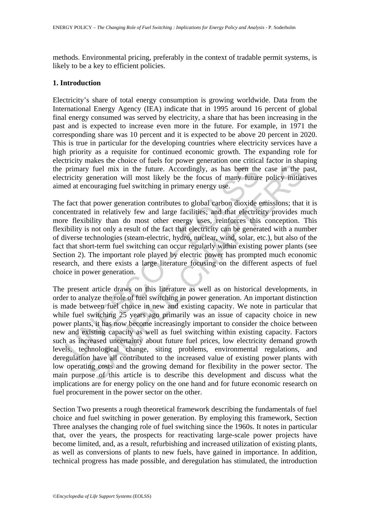methods. Environmental pricing, preferably in the context of tradable permit systems, is likely to be a key to efficient policies.

### **1. Introduction**

Electricity's share of total energy consumption is growing worldwide. Data from the International Energy Agency (IEA) indicate that in 1995 around 16 percent of global final energy consumed was served by electricity, a share that has been increasing in the past and is expected to increase even more in the future. For example, in 1971 the corresponding share was 10 percent and it is expected to be above 20 percent in 2020. This is true in particular for the developing countries where electricity services have a high priority as a requisite for continued economic growth. The expanding role for electricity makes the choice of fuels for power generation one critical factor in shaping the primary fuel mix in the future. Accordingly, as has been the case in the past, electricity generation will most likely be the focus of many future policy initiatives aimed at encouraging fuel switching in primary energy use.

primary fuel mix in the future. Accordingly, as has been the tricity generation will most likely be the focus of many futured at encouraging fuel switching in primary energy use.<br>
fact that power generation contributes to The fact that power generation contributes to global carbon dioxide emissions; that it is concentrated in relatively few and large facilities; and that electricity provides much more flexibility than do most other energy uses, reinforces this conception. This flexibility is not only a result of the fact that electricity can be generated with a number of diverse technologies (steam-electric, hydro, nuclear, wind, solar, etc.), but also of the fact that short-term fuel switching can occur regularly within existing power plants (see Section 2). The important role played by electric power has prompted much economic research, and there exists a large literature focusing on the different aspects of fuel choice in power generation.

by fuel mix in the future. Accordingly, as has been the case in the peneration will most likely be the focus of many future policy initiation represention will most likely be the focus of many future policy initiation corr The present article draws on this literature as well as on historical developments, in order to analyze the role of fuel switching in power generation. An important distinction is made between fuel choice in new and existing capacity. We note in particular that while fuel switching 25 years ago primarily was an issue of capacity choice in new power plants, it has now become increasingly important to consider the choice between new and existing capacity as well as fuel switching within existing capacity. Factors such as increased uncertainty about future fuel prices, low electricity demand growth levels, technological change, siting problems, environmental regulations, and deregulation have all contributed to the increased value of existing power plants with low operating costs and the growing demand for flexibility in the power sector. The main purpose of this article is to describe this development and discuss what the implications are for energy policy on the one hand and for future economic research on fuel procurement in the power sector on the other.

Section Two presents a rough theoretical framework describing the fundamentals of fuel choice and fuel switching in power generation. By employing this framework, Section Three analyses the changing role of fuel switching since the 1960s. It notes in particular that, over the years, the prospects for reactivating large-scale power projects have become limited, and, as a result, refurbishing and increased utilization of existing plants, as well as conversions of plants to new fuels, have gained in importance. In addition, technical progress has made possible, and deregulation has stimulated, the introduction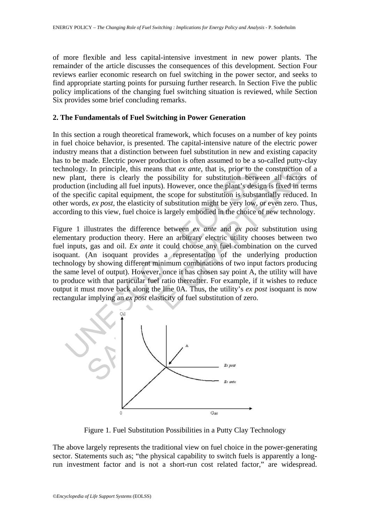of more flexible and less capital-intensive investment in new power plants. The remainder of the article discusses the consequences of this development. Section Four reviews earlier economic research on fuel switching in the power sector, and seeks to find appropriate starting points for pursuing further research. In Section Five the public policy implications of the changing fuel switching situation is reviewed, while Section Six provides some brief concluding remarks.

## **2. The Fundamentals of Fuel Switching in Power Generation**

In this section a rough theoretical framework, which focuses on a number of key points in fuel choice behavior, is presented. The capital-intensive nature of the electric power industry means that a distinction between fuel substitution in new and existing capacity has to be made. Electric power production is often assumed to be a so-called putty-clay technology. In principle, this means that *ex ante*, that is, prior to the construction of a new plant, there is clearly the possibility for substitution between all factors of production (including all fuel inputs). However, once the plant's design is fixed in terms of the specific capital equipment, the scope for substitution is substantially reduced. In other words, *ex post,* the elasticity of substitution might be very low, or even zero. Thus, according to this view, fuel choice is largely embodied in the choice of new technology.

mology. In principle, this means that *ex ante*, that is, prior to the plant, there is clearly the possibility for substitution between under the specific capital equipment, the scope for substitution is substant ex r wor The method of two input factors and extends the set of the set of the set of the set of the set of the set of the set of the set of the set of the construction, there is clearly the possibility for substitution between al Figure 1 illustrates the difference between *ex ante* and *ex post* substitution using elementary production theory. Here an arbitrary electric utility chooses between two fuel inputs, gas and oil. *Ex ante* it could choose any fuel combination on the curved isoquant. (An isoquant provides a representation of the underlying production technology by showing different minimum combinations of two input factors producing the same level of output). However, once it has chosen say point A, the utility will have to produce with that particular fuel ratio thereafter. For example, if it wishes to reduce output it must move back along the line 0A. Thus, the utility's *ex post* isoquant is now rectangular implying an *ex post* elasticity of fuel substitution of zero.



Figure 1. Fuel Substitution Possibilities in a Putty Clay Technology

The above largely represents the traditional view on fuel choice in the power-generating sector. Statements such as; "the physical capability to switch fuels is apparently a longrun investment factor and is not a short-run cost related factor," are widespread.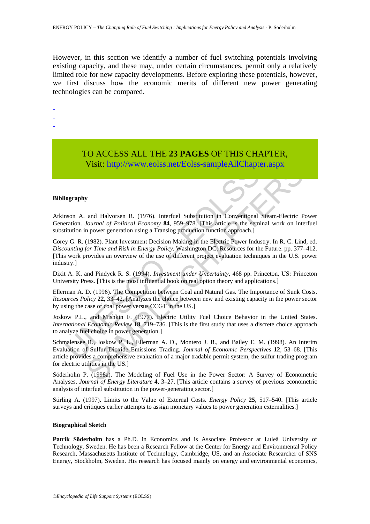However, in this section we identify a number of fuel switching potentials involving existing capacity, and these may, under certain circumstances, permit only a relatively limited role for new capacity developments. Before exploring these potentials, however, we first discuss how the economic merits of different new power generating technologies can be compared.

- -
- -
- -

# TO ACCESS ALL THE **23 PAGES** OF THIS CHAPTER, Visit: http://www.eolss.net/Eolss-sampleAllChapter.aspx

#### **Bibliography**

Atkinson A. and Halvorsen R. (1976). Interfuel Substitution in Conventional Steam-Electric Power Generation. *Journal of Political Economy* **84**, 959–978. [This article is the seminal work on interfuel substitution in power generation using a Translog production function approach.]

**VISIL:**  $\frac{1}{2}$  (1957) WWW. eOISS. HeV EOISS-Sample AIIC hapter<br>
iography<br>
iography<br>
iography<br>
iography<br>
iography<br>
iography<br>
iography<br>
y G. R. (1982). Plant Investment Decision Making in the Electric Power Indu-<br>
y G. Corey G. R. (1982). Plant Investment Decision Making in the Electric Power Industry. In R. C. Lind, ed. *Discounting for Time and Risk in Energy Policy*. Washington DC: Resources for the Future. pp. 377–412. [This work provides an overview of the use of different project evaluation techniques in the U.S. power industry.]

Dixit A. K. and Pindyck R. S. (1994). *Investment under Uncertainty*, 468 pp. Princeton, US: Princeton University Press. [This is the most influential book on real option theory and applications.]

Ellerman A. D. (1996). The Competition between Coal and Natural Gas. The Importance of Sunk Costs. *Resources Policy* **22**, 33–42. [Analyzes the choice between new and existing capacity in the power sector by using the case of coal power versus CCGT in the US.]

Joskow P.L., and Mishkin F. (1977). Electric Utility Fuel Choice Behavior in the United States. *International Economic Review* **18**, 719–736. [This is the first study that uses a discrete choice approach to analyze fuel choice in power generation.]

**VI[S](https://www.eolss.net/ebooklib/sc_cart.aspx?File=E3-21-03-05)IL: http://www.eolss.net/Eolss-sampleAllt.Inapter.aspx**<br>
and Halvorsen R. (1976). Interfuel Substitution in Conventional Steam-Electric Pournal of Political Economy 84, 959-978. [This article is the seminal work on Schmalensee R., Joskow P. L., Ellerman A. D., Montero J. B., and Bailey E. M. (1998). An Interim Evaluation of Sulfur Dioxide Emissions Trading. *Journal of Economic Perspectives* **12**, 53–68. [This article provides a comprehensive evaluation of a major tradable permit system, the sulfur trading program for electric utilities in the US.]

Söderholm P. (1998a). The Modeling of Fuel Use in the Power Sector: A Survey of Econometric Analyses. *Journal of Energy Literature* **4**, 3–27. [This article contains a survey of previous econometric analysis of interfuel substitution in the power-generating sector.]

Stirling A. (1997). Limits to the Value of External Costs. *Energy Policy* **25**, 517–540. [This article surveys and critiques earlier attempts to assign monetary values to power generation externalities.]

#### **Biographical Sketch**

Patrik Söderholm has a Ph.D. in Economics and is Associate Professor at Luleå University of Technology, Sweden. He has been a Research Fellow at the Center for Energy and Environmental Policy Research, Massachusetts Institute of Technology, Cambridge, US, and an Associate Researcher of SNS Energy, Stockholm, Sweden. His research has focused mainly on energy and environmental economics,